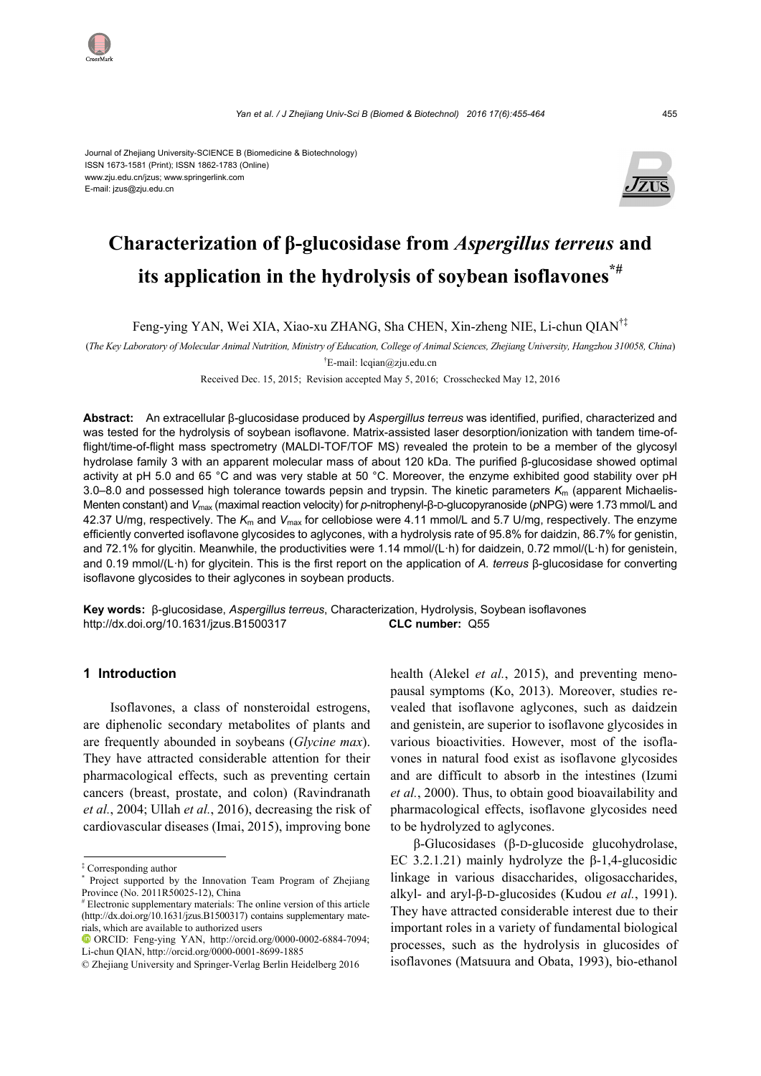#### Journal of Zhejiang University-SCIENCE B (Biomedicine & Biotechnology) ISSN 1673-1581 (Print); ISSN 1862-1783 (Online) www.zju.edu.cn/jzus; www.springerlink.com E-mail: jzus@zju.edu.cn



# **Characterization of β-glucosidase from** *Aspergillus terreus* **and its application in the hydrolysis of soybean isoflavones\*#**

Feng-ying YAN, Wei XIA, Xiao-xu ZHANG, Sha CHEN, Xin-zheng NIE, Li-chun QIAN†‡

(*The Key Laboratory of Molecular Animal Nutrition, Ministry of Education, College of Animal Sciences, Zhejiang University, Hangzhou 310058, China*) † E-mail: lcqian@zju.edu.cn

Received Dec. 15, 2015; Revision accepted May 5, 2016; Crosschecked May 12, 2016

**Abstract:** An extracellular β-glucosidase produced by *Aspergillus terreus* was identified, purified, characterized and was tested for the hydrolysis of soybean isoflavone. Matrix-assisted laser desorption/ionization with tandem time-offlight/time-of-flight mass spectrometry (MALDI-TOF/TOF MS) revealed the protein to be a member of the glycosyl hydrolase family 3 with an apparent molecular mass of about 120 kDa. The purified β-glucosidase showed optimal activity at pH 5.0 and 65 °C and was very stable at 50 °C. Moreover, the enzyme exhibited good stability over pH 3.0–8.0 and possessed high tolerance towards pepsin and trypsin. The kinetic parameters *K*m (apparent Michaelis-Menten constant) and *V*max (maximal reaction velocity) for *p*-nitrophenyl-β-D-glucopyranoside (*p*NPG) were 1.73 mmol/L and 42.37 U/mg, respectively. The *K*m and *V*max for cellobiose were 4.11 mmol/L and 5.7 U/mg, respectively. The enzyme efficiently converted isoflavone glycosides to aglycones, with a hydrolysis rate of 95.8% for daidzin, 86.7% for genistin, and 72.1% for glycitin. Meanwhile, the productivities were 1.14 mmol/(L·h) for daidzein, 0.72 mmol/(L·h) for genistein, and 0.19 mmol/(L·h) for glycitein. This is the first report on the application of *A. terreus* β-glucosidase for converting isoflavone glycosides to their aglycones in soybean products.

**Key words:** β-glucosidase, *Aspergillus terreus*, Characterization, Hydrolysis, Soybean isoflavones http://dx.doi.org/10.1631/jzus.B1500317 **CLC number:** Q55

#### **1 Introduction**

Isoflavones, a class of nonsteroidal estrogens, are diphenolic secondary metabolites of plants and are frequently abounded in soybeans (*Glycine max*). They have attracted considerable attention for their pharmacological effects, such as preventing certain cancers (breast, prostate, and colon) (Ravindranath *et al.*, 2004; Ullah *et al.*, 2016), decreasing the risk of cardiovascular diseases (Imai, 2015), improving bone health (Alekel *et al.*, 2015), and preventing menopausal symptoms (Ko, 2013). Moreover, studies revealed that isoflavone aglycones, such as daidzein and genistein, are superior to isoflavone glycosides in various bioactivities. However, most of the isoflavones in natural food exist as isoflavone glycosides and are difficult to absorb in the intestines (Izumi *et al.*, 2000). Thus, to obtain good bioavailability and pharmacological effects, isoflavone glycosides need to be hydrolyzed to aglycones.

β-Glucosidases (β-D-glucoside glucohydrolase, EC 3.2.1.21) mainly hydrolyze the  $\beta$ -1,4-glucosidic linkage in various disaccharides, oligosaccharides, alkyl- and aryl-β-D-glucosides (Kudou *et al.*, 1991). They have attracted considerable interest due to their important roles in a variety of fundamental biological processes, such as the hydrolysis in glucosides of isoflavones (Matsuura and Obata, 1993), bio-ethanol



<sup>‡</sup> Corresponding author

<sup>\*</sup> Project supported by the Innovation Team Program of Zhejiang Province (No. 2011R50025-12), China

<sup>#</sup> Electronic supplementary materials: The online version of this article (http://dx.doi.org/10.1631/jzus.B1500317) contains supplementary materials, which are available to authorized users

ORCID: Feng-ying YAN, http://orcid.org/0000-0002-6884-7094; Li-chun QIAN, http://orcid.org/0000-0001-8699-1885

<sup>©</sup> Zhejiang University and Springer-Verlag Berlin Heidelberg 2016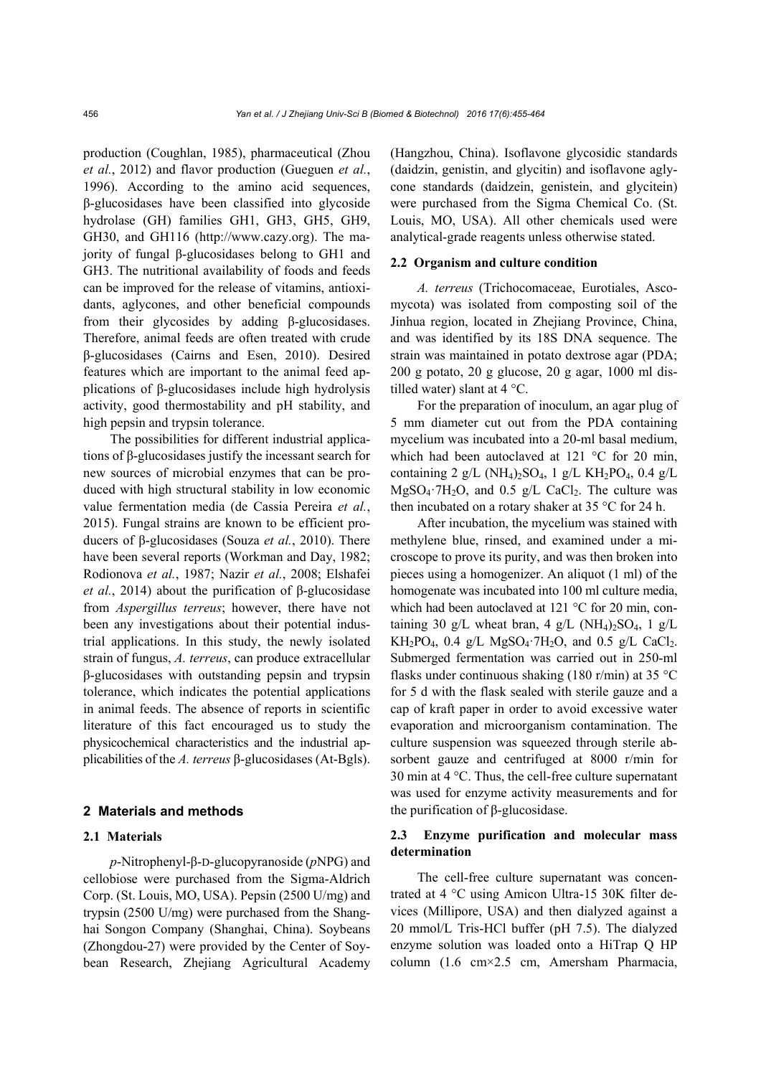production (Coughlan, 1985), pharmaceutical (Zhou *et al.*, 2012) and flavor production (Gueguen *et al.*, 1996). According to the amino acid sequences, β-glucosidases have been classified into glycoside hydrolase (GH) families GH1, GH3, GH5, GH9, GH30, and GH116 (http://www.cazy.org). The majority of fungal β-glucosidases belong to GH1 and GH3. The nutritional availability of foods and feeds can be improved for the release of vitamins, antioxidants, aglycones, and other beneficial compounds from their glycosides by adding β-glucosidases. Therefore, animal feeds are often treated with crude β-glucosidases (Cairns and Esen, 2010). Desired features which are important to the animal feed applications of β-glucosidases include high hydrolysis activity, good thermostability and pH stability, and high pepsin and trypsin tolerance.

The possibilities for different industrial applications of β-glucosidases justify the incessant search for new sources of microbial enzymes that can be produced with high structural stability in low economic value fermentation media (de Cassia Pereira *et al.*, 2015). Fungal strains are known to be efficient producers of β-glucosidases (Souza *et al.*, 2010). There have been several reports (Workman and Day, 1982; Rodionova *et al.*, 1987; Nazir *et al.*, 2008; Elshafei *et al.*, 2014) about the purification of β-glucosidase from *Aspergillus terreus*; however, there have not been any investigations about their potential industrial applications. In this study, the newly isolated strain of fungus, *A. terreus*, can produce extracellular β-glucosidases with outstanding pepsin and trypsin tolerance, which indicates the potential applications in animal feeds. The absence of reports in scientific literature of this fact encouraged us to study the physicochemical characteristics and the industrial applicabilities of the *A. terreus* β-glucosidases (At-Bgls).

#### **2 Materials and methods**

# **2.1 Materials**

*p*-Nitrophenyl-β-D-glucopyranoside (*p*NPG) and cellobiose were purchased from the Sigma-Aldrich Corp. (St. Louis, MO, USA). Pepsin (2500 U/mg) and trypsin (2500 U/mg) were purchased from the Shanghai Songon Company (Shanghai, China). Soybeans (Zhongdou-27) were provided by the Center of Soybean Research, Zhejiang Agricultural Academy

(Hangzhou, China). Isoflavone glycosidic standards (daidzin, genistin, and glycitin) and isoflavone aglycone standards (daidzein, genistein, and glycitein) were purchased from the Sigma Chemical Co. (St. Louis, MO, USA). All other chemicals used were analytical-grade reagents unless otherwise stated.

#### **2.2 Organism and culture condition**

*A. terreus* (Trichocomaceae, Eurotiales, Ascomycota) was isolated from composting soil of the Jinhua region, located in Zhejiang Province, China, and was identified by its 18S DNA sequence. The strain was maintained in potato dextrose agar (PDA; 200 g potato, 20 g glucose, 20 g agar, 1000 ml distilled water) slant at 4 °C.

For the preparation of inoculum, an agar plug of 5 mm diameter cut out from the PDA containing mycelium was incubated into a 20-ml basal medium, which had been autoclaved at 121 °C for 20 min, containing 2 g/L (NH<sub>4</sub>)<sub>2</sub>SO<sub>4</sub>, 1 g/L KH<sub>2</sub>PO<sub>4</sub>, 0.4 g/L  $MgSO_4 \tcdot 7H_2O$ , and 0.5 g/L CaCl<sub>2</sub>. The culture was then incubated on a rotary shaker at 35 °C for 24 h.

After incubation, the mycelium was stained with methylene blue, rinsed, and examined under a microscope to prove its purity, and was then broken into pieces using a homogenizer. An aliquot (1 ml) of the homogenate was incubated into 100 ml culture media, which had been autoclaved at 121 °C for 20 min, containing 30 g/L wheat bran, 4 g/L (NH<sub>4</sub>)<sub>2</sub>SO<sub>4</sub>, 1 g/L  $KH_2PO_4$ , 0.4 g/L MgSO<sub>4</sub> $TH_2O$ , and 0.5 g/L CaCl<sub>2</sub>. Submerged fermentation was carried out in 250-ml flasks under continuous shaking (180 r/min) at 35 °C for 5 d with the flask sealed with sterile gauze and a cap of kraft paper in order to avoid excessive water evaporation and microorganism contamination. The culture suspension was squeezed through sterile absorbent gauze and centrifuged at 8000 r/min for 30 min at 4 °C. Thus, the cell-free culture supernatant was used for enzyme activity measurements and for the purification of β-glucosidase.

# **2.3 Enzyme purification and molecular mass determination**

The cell-free culture supernatant was concentrated at 4 °C using Amicon Ultra-15 30K filter devices (Millipore, USA) and then dialyzed against a 20 mmol/L Tris-HCl buffer (pH 7.5). The dialyzed enzyme solution was loaded onto a HiTrap Q HP column (1.6 cm×2.5 cm, Amersham Pharmacia,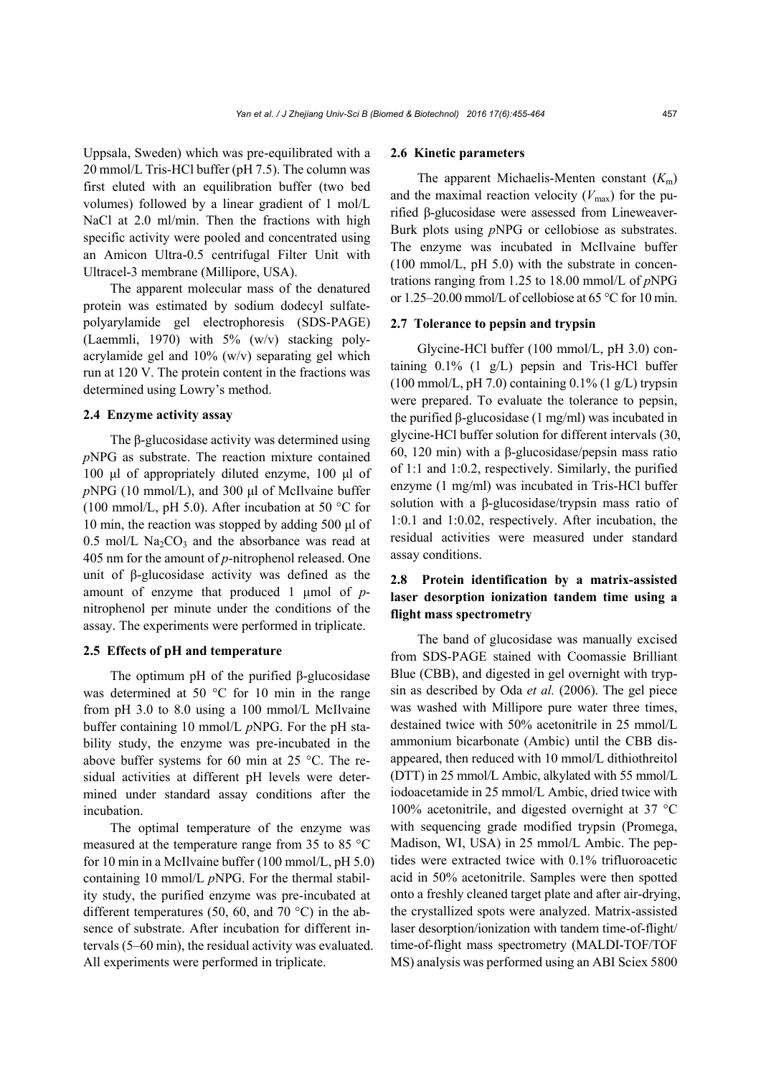Uppsala, Sweden) which was pre-equilibrated with a 20 mmol/L Tris-HCl buffer (pH 7.5). The column was first eluted with an equilibration buffer (two bed volumes) followed by a linear gradient of 1 mol/L NaCl at 2.0 ml/min. Then the fractions with high specific activity were pooled and concentrated using an Amicon Ultra-0.5 centrifugal Filter Unit with Ultracel-3 membrane (Millipore, USA).

The apparent molecular mass of the denatured protein was estimated by sodium dodecyl sulfatepolyarylamide gel electrophoresis (SDS-PAGE) (Laemmli, 1970) with 5% (w/v) stacking polyacrylamide gel and 10% (w/v) separating gel which run at 120 V. The protein content in the fractions was determined using Lowry's method.

#### **2.4 Enzyme activity assay**

The β-glucosidase activity was determined using *p*NPG as substrate. The reaction mixture contained 100 μl of appropriately diluted enzyme, 100 μl of *p*NPG (10 mmol/L), and 300 μl of McIlvaine buffer (100 mmol/L, pH 5.0). After incubation at 50 °C for 10 min, the reaction was stopped by adding 500 μl of  $0.5$  mol/L Na<sub>2</sub>CO<sub>3</sub> and the absorbance was read at 405 nm for the amount of *p*-nitrophenol released. One unit of β-glucosidase activity was defined as the amount of enzyme that produced 1 μmol of *p*nitrophenol per minute under the conditions of the assay. The experiments were performed in triplicate.

# **2.5 Effects of pH and temperature**

The optimum pH of the purified β-glucosidase was determined at 50 °C for 10 min in the range from pH 3.0 to 8.0 using a 100 mmol/L McIlvaine buffer containing 10 mmol/L *p*NPG. For the pH stability study, the enzyme was pre-incubated in the above buffer systems for 60 min at 25 °C. The residual activities at different pH levels were determined under standard assay conditions after the incubation.

The optimal temperature of the enzyme was measured at the temperature range from 35 to 85 °C for 10 min in a McIlvaine buffer (100 mmol/L, pH 5.0) containing 10 mmol/L *p*NPG. For the thermal stability study, the purified enzyme was pre-incubated at different temperatures (50, 60, and 70 °C) in the absence of substrate. After incubation for different intervals (5–60 min), the residual activity was evaluated. All experiments were performed in triplicate.

#### **2.6 Kinetic parameters**

The apparent Michaelis-Menten constant  $(K<sub>m</sub>)$ and the maximal reaction velocity  $(V_{\text{max}})$  for the purified β-glucosidase were assessed from Lineweaver-Burk plots using *p*NPG or cellobiose as substrates. The enzyme was incubated in McIlvaine buffer (100 mmol/L, pH 5.0) with the substrate in concentrations ranging from 1.25 to 18.00 mmol/L of *p*NPG or 1.25–20.00 mmol/L of cellobiose at 65 °C for 10 min.

#### **2.7 Tolerance to pepsin and trypsin**

Glycine-HCl buffer (100 mmol/L, pH 3.0) containing 0.1% (1 g/L) pepsin and Tris-HCl buffer  $(100 \text{ mmol/L}, \text{pH } 7.0)$  containing  $0.1\%$  (1 g/L) trypsin were prepared. To evaluate the tolerance to pepsin, the purified β-glucosidase (1 mg/ml) was incubated in glycine-HCl buffer solution for different intervals (30, 60, 120 min) with a β-glucosidase/pepsin mass ratio of 1:1 and 1:0.2, respectively. Similarly, the purified enzyme (1 mg/ml) was incubated in Tris-HCl buffer solution with a β-glucosidase/trypsin mass ratio of 1:0.1 and 1:0.02, respectively. After incubation, the residual activities were measured under standard assay conditions.

# **2.8 Protein identification by a matrix-assisted laser desorption ionization tandem time using a flight mass spectrometry**

The band of glucosidase was manually excised from SDS-PAGE stained with Coomassie Brilliant Blue (CBB), and digested in gel overnight with trypsin as described by Oda *et al.* (2006). The gel piece was washed with Millipore pure water three times, destained twice with 50% acetonitrile in 25 mmol/L ammonium bicarbonate (Ambic) until the CBB disappeared, then reduced with 10 mmol/L dithiothreitol (DTT) in 25 mmol/L Ambic, alkylated with 55 mmol/L iodoacetamide in 25 mmol/L Ambic, dried twice with 100% acetonitrile, and digested overnight at 37 °C with sequencing grade modified trypsin (Promega, Madison, WI, USA) in 25 mmol/L Ambic. The peptides were extracted twice with 0.1% trifluoroacetic acid in 50% acetonitrile. Samples were then spotted onto a freshly cleaned target plate and after air-drying, the crystallized spots were analyzed. Matrix-assisted laser desorption/ionization with tandem time-of-flight/ time-of-flight mass spectrometry (MALDI-TOF/TOF MS) analysis was performed using an ABI Sciex 5800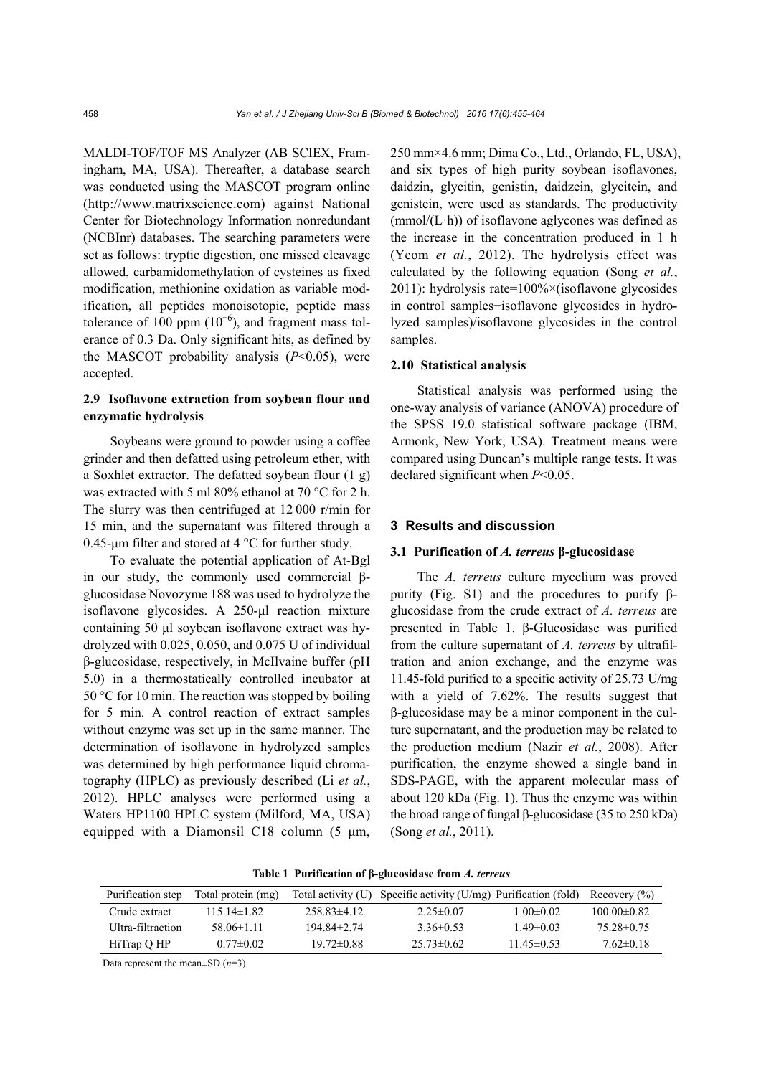MALDI-TOF/TOF MS Analyzer (AB SCIEX, Framingham, MA, USA). Thereafter, a database search was conducted using the MASCOT program online (http://www.matrixscience.com) against National Center for Biotechnology Information nonredundant (NCBInr) databases. The searching parameters were set as follows: tryptic digestion, one missed cleavage allowed, carbamidomethylation of cysteines as fixed modification, methionine oxidation as variable modification, all peptides monoisotopic, peptide mass tolerance of 100 ppm  $(10^{-6})$ , and fragment mass tolerance of 0.3 Da. Only significant hits, as defined by the MASCOT probability analysis (*P*<0.05), were accepted.

# **2.9 Isoflavone extraction from soybean flour and enzymatic hydrolysis**

Soybeans were ground to powder using a coffee grinder and then defatted using petroleum ether, with a Soxhlet extractor. The defatted soybean flour (1 g) was extracted with 5 ml 80% ethanol at 70 °C for 2 h. The slurry was then centrifuged at 12 000 r/min for 15 min, and the supernatant was filtered through a 0.45-μm filter and stored at 4 °C for further study.

To evaluate the potential application of At-Bgl in our study, the commonly used commercial βglucosidase Novozyme 188 was used to hydrolyze the isoflavone glycosides. A 250-μl reaction mixture containing 50 μl soybean isoflavone extract was hydrolyzed with 0.025, 0.050, and 0.075 U of individual β-glucosidase, respectively, in McIlvaine buffer (pH 5.0) in a thermostatically controlled incubator at 50 °C for 10 min. The reaction was stopped by boiling for 5 min. A control reaction of extract samples without enzyme was set up in the same manner. The determination of isoflavone in hydrolyzed samples was determined by high performance liquid chromatography (HPLC) as previously described (Li *et al.*, 2012). HPLC analyses were performed using a Waters HP1100 HPLC system (Milford, MA, USA) equipped with a Diamonsil C18 column (5 μm,

250 mm×4.6 mm; Dima Co., Ltd., Orlando, FL, USA), and six types of high purity soybean isoflavones, daidzin, glycitin, genistin, daidzein, glycitein, and genistein, were used as standards. The productivity  $(mmol/(L \cdot h))$  of isoflavone aglycones was defined as the increase in the concentration produced in 1 h (Yeom *et al.*, 2012). The hydrolysis effect was calculated by the following equation (Song *et al.*, 2011): hydrolysis rate= $100\% \times$ (isoflavone glycosides in control samples−isoflavone glycosides in hydrolyzed samples)/isoflavone glycosides in the control samples.

#### **2.10 Statistical analysis**

Statistical analysis was performed using the one-way analysis of variance (ANOVA) procedure of the SPSS 19.0 statistical software package (IBM, Armonk, New York, USA). Treatment means were compared using Duncan's multiple range tests. It was declared significant when *P*<0.05.

#### **3 Results and discussion**

#### **3.1 Purification of** *A. terreus* **β-glucosidase**

The *A. terreus* culture mycelium was proved purity (Fig. S1) and the procedures to purify βglucosidase from the crude extract of *A. terreus* are presented in Table 1. β-Glucosidase was purified from the culture supernatant of *A. terreus* by ultrafiltration and anion exchange, and the enzyme was 11.45-fold purified to a specific activity of 25.73 U/mg with a yield of 7.62%. The results suggest that β-glucosidase may be a minor component in the culture supernatant, and the production may be related to the production medium (Nazir *et al.*, 2008). After purification, the enzyme showed a single band in SDS-PAGE, with the apparent molecular mass of about 120 kDa (Fig. 1). Thus the enzyme was within the broad range of fungal β-glucosidase (35 to 250 kDa) (Song *et al.*, 2011).

| Table 1 Purification of β-glucosidase from A. terreus |  |  |
|-------------------------------------------------------|--|--|
|-------------------------------------------------------|--|--|

| Purification step  | Total protein (mg) |                  | Total activity $(U)$ Specific activity $(U/mg)$ Purification (fold) |                 | Recovery (%)     |
|--------------------|--------------------|------------------|---------------------------------------------------------------------|-----------------|------------------|
| Crude extract      | $11514\pm182$      | $258.83\pm 4.12$ | $2.25 \pm 0.07$                                                     | $1.00 \pm 0.02$ | $10000 \pm 0.82$ |
| Ultra-filtraction- | 58 $06\pm1$ 11     | 194 84±2 74      | 3 36 $\pm$ 0 53                                                     | 1 49±0 03       | 75.28±0.75       |
| HiTrap Q HP        | $0.77\pm 0.02$     | $19.72\pm0.88$   | $25.73\pm 0.62$                                                     | 11 45±0 53      | $7.62\pm0.18$    |

Data represent the mean±SD (*n*=3)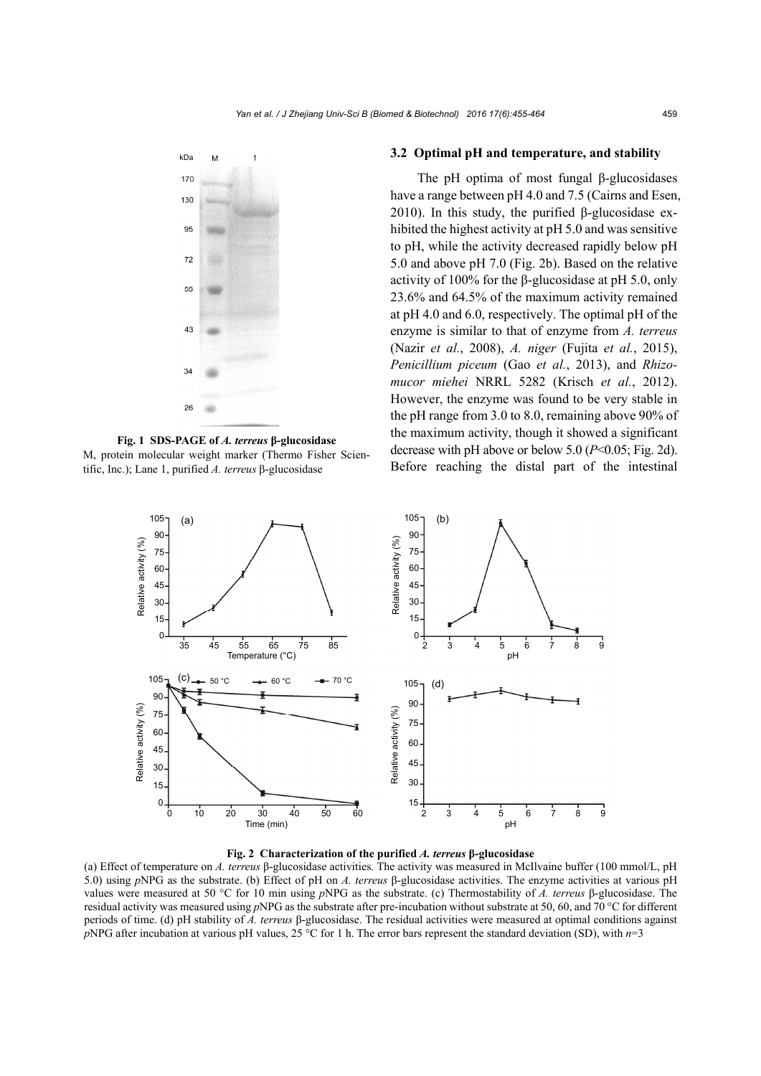

**Fig. 1 SDS-PAGE of** *A. terreus* **β-glucosidase**  M, protein molecular weight marker (Thermo Fisher Scientific, Inc.); Lane 1, purified *A. terreus* β-glucosidase

#### **3.2 Optimal pH and temperature, and stability**

The pH optima of most fungal β-glucosidases have a range between pH 4.0 and 7.5 (Cairns and Esen, 2010). In this study, the purified β-glucosidase exhibited the highest activity at pH 5.0 and was sensitive to pH, while the activity decreased rapidly below pH 5.0 and above pH 7.0 (Fig. 2b). Based on the relative activity of 100% for the β-glucosidase at pH 5.0, only 23.6% and 64.5% of the maximum activity remained at pH 4.0 and 6.0, respectively. The optimal pH of the enzyme is similar to that of enzyme from *A. terreus*  (Nazir *et al.*, 2008), *A. niger* (Fujita *et al.*, 2015), *Penicillium piceum* (Gao *et al.*, 2013), and *Rhizomucor miehei* NRRL 5282 (Krisch *et al.*, 2012). However, the enzyme was found to be very stable in the pH range from 3.0 to 8.0, remaining above 90% of the maximum activity, though it showed a significant decrease with pH above or below 5.0 (*P*<0.05; Fig. 2d). Before reaching the distal part of the intestinal



**Fig. 2 Characterization of the purified** *A. terreus* **β-glucosidase** 

(a) Effect of temperature on *A. terreus* β-glucosidase activities. The activity was measured in McIlvaine buffer (100 mmol/L, pH 5.0) using *p*NPG as the substrate. (b) Effect of pH on *A. terreus* β-glucosidase activities. The enzyme activities at various pH values were measured at 50 °C for 10 min using *p*NPG as the substrate. (c) Thermostability of *A. terreus* β-glucosidase. The residual activity was measured using *p*NPG as the substrate after pre-incubation without substrate at 50, 60, and 70 °C for different periods of time. (d) pH stability of *A. terreus* β-glucosidase. The residual activities were measured at optimal conditions against *p*NPG after incubation at various pH values, 25 °C for 1 h. The error bars represent the standard deviation (SD), with *n*=3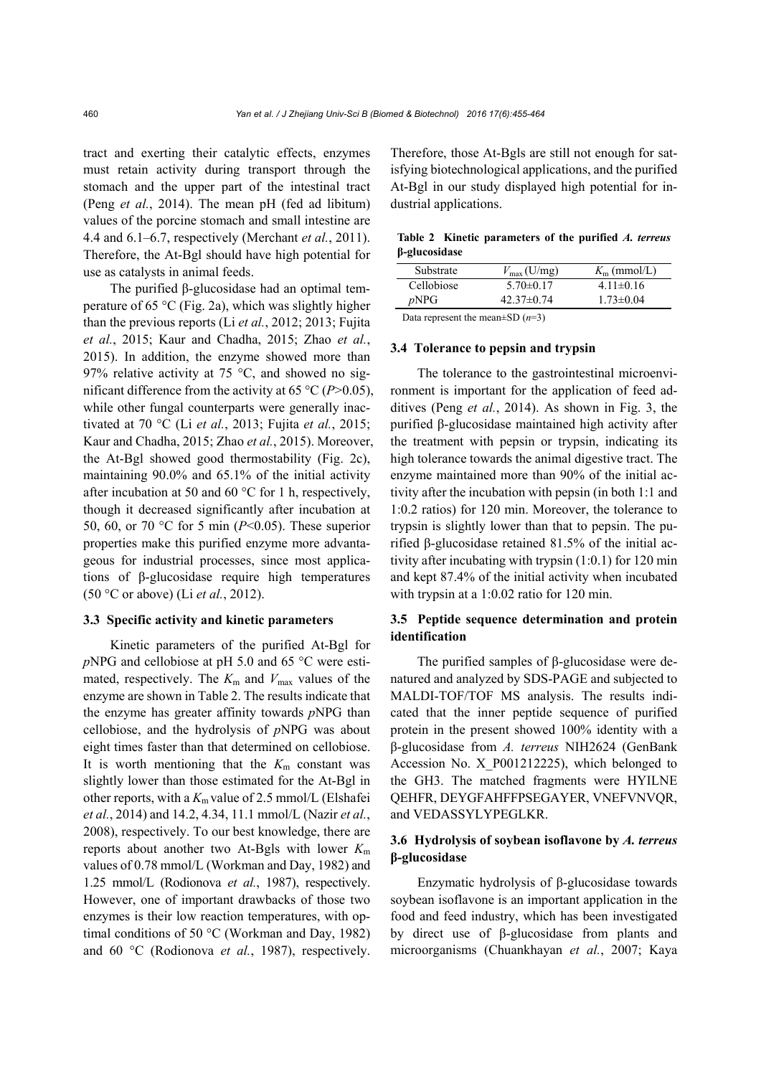tract and exerting their catalytic effects, enzymes must retain activity during transport through the stomach and the upper part of the intestinal tract (Peng *et al.*, 2014). The mean pH (fed ad libitum) values of the porcine stomach and small intestine are 4.4 and 6.1–6.7, respectively (Merchant *et al.*, 2011). Therefore, the At-Bgl should have high potential for use as catalysts in animal feeds.

The purified β-glucosidase had an optimal temperature of 65 °C (Fig. 2a), which was slightly higher than the previous reports (Li *et al.*, 2012; 2013; Fujita *et al.*, 2015; Kaur and Chadha, 2015; Zhao *et al.*, 2015). In addition, the enzyme showed more than 97% relative activity at 75  $\degree$ C, and showed no significant difference from the activity at 65 °C (*P*>0.05), while other fungal counterparts were generally inactivated at 70 °C (Li *et al.*, 2013; Fujita *et al.*, 2015; Kaur and Chadha, 2015; Zhao *et al.*, 2015). Moreover, the At-Bgl showed good thermostability (Fig. 2c), maintaining 90.0% and 65.1% of the initial activity after incubation at 50 and 60 °C for 1 h, respectively, though it decreased significantly after incubation at 50, 60, or 70 °C for 5 min (*P*<0.05). These superior properties make this purified enzyme more advantageous for industrial processes, since most applications of β-glucosidase require high temperatures (50 °C or above) (Li *et al.*, 2012).

#### **3.3 Specific activity and kinetic parameters**

Kinetic parameters of the purified At-Bgl for *p*NPG and cellobiose at pH 5.0 and 65 °C were estimated, respectively. The  $K_m$  and  $V_{\text{max}}$  values of the enzyme are shown in Table 2. The results indicate that the enzyme has greater affinity towards *p*NPG than cellobiose, and the hydrolysis of *p*NPG was about eight times faster than that determined on cellobiose. It is worth mentioning that the  $K<sub>m</sub>$  constant was slightly lower than those estimated for the At-Bgl in other reports, with a  $K<sub>m</sub>$  value of 2.5 mmol/L (Elshafei *et al.*, 2014) and 14.2, 4.34, 11.1 mmol/L (Nazir *et al.*, 2008), respectively. To our best knowledge, there are reports about another two At-Bgls with lower *K*<sup>m</sup> values of 0.78 mmol/L (Workman and Day, 1982) and 1.25 mmol/L (Rodionova *et al.*, 1987), respectively. However, one of important drawbacks of those two enzymes is their low reaction temperatures, with optimal conditions of 50 °C (Workman and Day, 1982) and 60 °C (Rodionova *et al.*, 1987), respectively.

Therefore, those At-Bgls are still not enough for satisfying biotechnological applications, and the purified At-Bgl in our study displayed high potential for industrial applications.

|                      | Table 2 Kinetic parameters of the purified A. terreus |  |  |
|----------------------|-------------------------------------------------------|--|--|
| $\beta$ -glucosidase |                                                       |  |  |

| Substrate  | $V_{\text{max}}$ (U/mg) | $K_{\rm m}$ (mmol/L) |
|------------|-------------------------|----------------------|
| Cellobiose | $5.70 \pm 0.17$         | $4.11\pm0.16$        |
| pNPG       | $42.37\pm0.74$          | $1.73 \pm 0.04$      |
|            |                         |                      |

Data represent the mean±SD (*n*=3)

#### **3.4 Tolerance to pepsin and trypsin**

The tolerance to the gastrointestinal microenvironment is important for the application of feed additives (Peng *et al.*, 2014). As shown in Fig. 3, the purified β-glucosidase maintained high activity after the treatment with pepsin or trypsin, indicating its high tolerance towards the animal digestive tract. The enzyme maintained more than 90% of the initial activity after the incubation with pepsin (in both 1:1 and 1:0.2 ratios) for 120 min. Moreover, the tolerance to trypsin is slightly lower than that to pepsin. The purified β-glucosidase retained 81.5% of the initial activity after incubating with trypsin (1:0.1) for 120 min and kept 87.4% of the initial activity when incubated with trypsin at a 1:0.02 ratio for 120 min.

# **3.5 Peptide sequence determination and protein identification**

The purified samples of β-glucosidase were denatured and analyzed by SDS-PAGE and subjected to MALDI-TOF/TOF MS analysis. The results indicated that the inner peptide sequence of purified protein in the present showed 100% identity with a β-glucosidase from *A. terreus* NIH2624 (GenBank Accession No. X\_P001212225), which belonged to the GH3. The matched fragments were HYILNE QEHFR, DEYGFAHFFPSEGAYER, VNEFVNVQR, and VEDASSYLYPEGLKR.

# **3.6 Hydrolysis of soybean isoflavone by** *A. terreus*  **β-glucosidase**

Enzymatic hydrolysis of β-glucosidase towards soybean isoflavone is an important application in the food and feed industry, which has been investigated by direct use of β-glucosidase from plants and microorganisms (Chuankhayan *et al.*, 2007; Kaya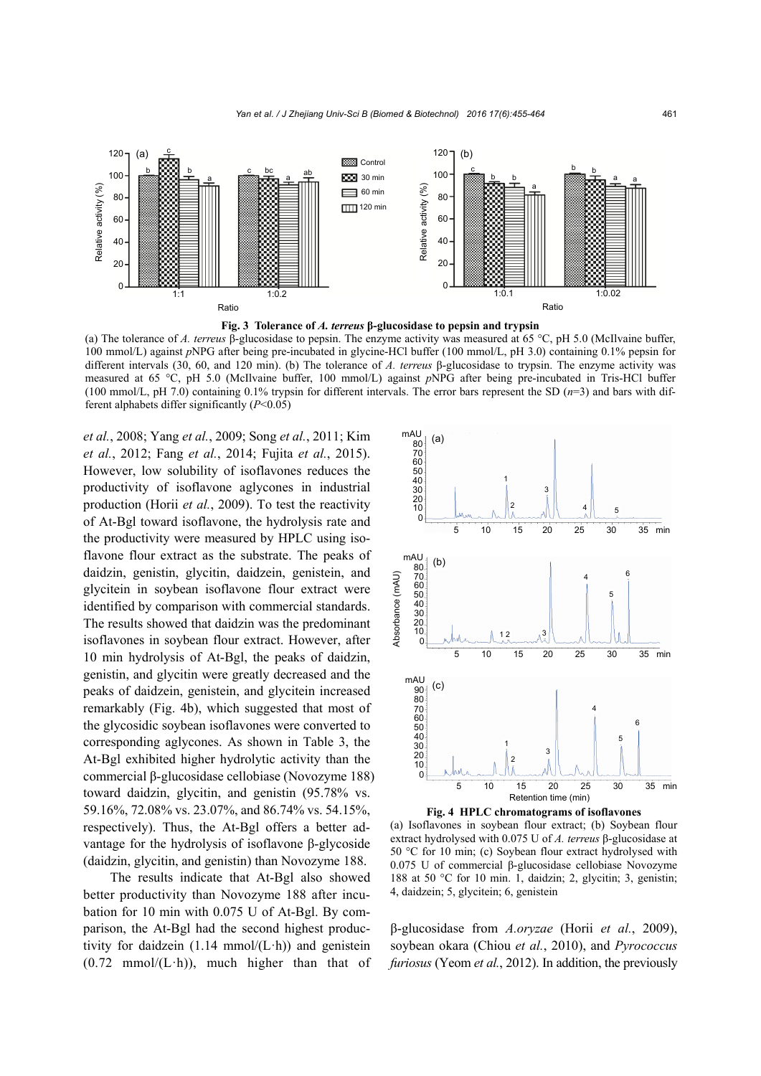

**Fig. 3 Tolerance of** *A. terreus* **β-glucosidase to pepsin and trypsin** 

(a) The tolerance of *A. terreus* β-glucosidase to pepsin. The enzyme activity was measured at 65 °C, pH 5.0 (McIlvaine buffer, 100 mmol/L) against *p*NPG after being pre-incubated in glycine-HCl buffer (100 mmol/L, pH 3.0) containing 0.1% pepsin for different intervals (30, 60, and 120 min). (b) The tolerance of *A. terreus* β-glucosidase to trypsin. The enzyme activity was measured at 65 °C, pH 5.0 (McIlvaine buffer, 100 mmol/L) against *p*NPG after being pre-incubated in Tris-HCl buffer (100 mmol/L, pH 7.0) containing 0.1% trypsin for different intervals. The error bars represent the SD (*n*=3) and bars with different alphabets differ significantly (*P*<0.05)

*et al.*, 2008; Yang *et al.*, 2009; Song *et al.*, 2011; Kim *et al.*, 2012; Fang *et al.*, 2014; Fujita *et al.*, 2015). However, low solubility of isoflavones reduces the productivity of isoflavone aglycones in industrial production (Horii *et al.*, 2009). To test the reactivity of At-Bgl toward isoflavone, the hydrolysis rate and the productivity were measured by HPLC using isoflavone flour extract as the substrate. The peaks of daidzin, genistin, glycitin, daidzein, genistein, and glycitein in soybean isoflavone flour extract were identified by comparison with commercial standards. The results showed that daidzin was the predominant isoflavones in soybean flour extract. However, after 10 min hydrolysis of At-Bgl, the peaks of daidzin, genistin, and glycitin were greatly decreased and the peaks of daidzein, genistein, and glycitein increased remarkably (Fig. 4b), which suggested that most of the glycosidic soybean isoflavones were converted to corresponding aglycones. As shown in Table 3, the At-Bgl exhibited higher hydrolytic activity than the commercial β-glucosidase cellobiase (Novozyme 188) toward daidzin, glycitin, and genistin (95.78% vs. 59.16%, 72.08% vs. 23.07%, and 86.74% vs. 54.15%, respectively). Thus, the At-Bgl offers a better advantage for the hydrolysis of isoflavone β-glycoside (daidzin, glycitin, and genistin) than Novozyme 188.

The results indicate that At-Bgl also showed better productivity than Novozyme 188 after incubation for 10 min with 0.075 U of At-Bgl. By comparison, the At-Bgl had the second highest productivity for daidzein  $(1.14 \text{ mmol}/(L \cdot h))$  and genistein  $(0.72 \text{ mmol}/(L \cdot h))$ , much higher than that of



(a) Isoflavones in soybean flour extract; (b) Soybean flour extract hydrolysed with 0.075 U of *A. terreus* β-glucosidase at 50 °C for 10 min; (c) Soybean flour extract hydrolysed with 0.075 U of commercial β-glucosidase cellobiase Novozyme 188 at 50 °C for 10 min. 1, daidzin; 2, glycitin; 3, genistin; 4, daidzein; 5, glycitein; 6, genistein

β-glucosidase from *A.oryzae* (Horii *et al.*, 2009), soybean okara (Chiou *et al.*, 2010), and *Pyrococcus furiosus* (Yeom *et al.*, 2012). In addition, the previously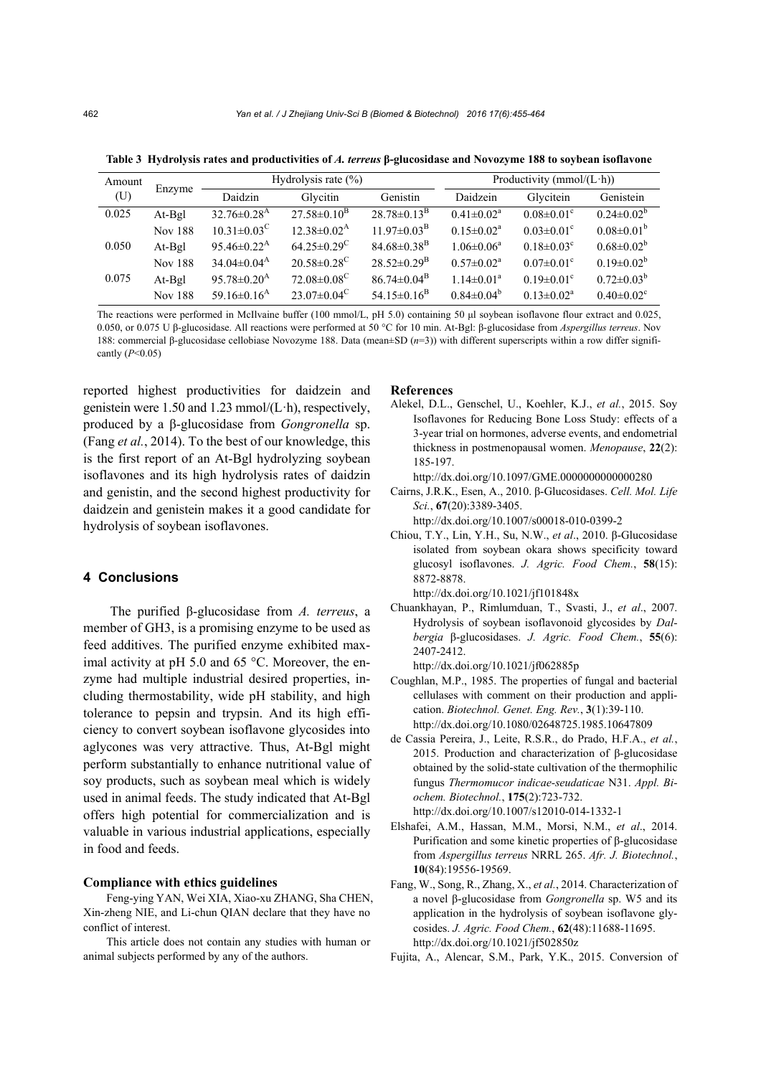| Amount |                |                               | Hydrolysis rate $(\% )$       |                               |                              | Productivity (mmol/ $(Lh)$ ) |                              |
|--------|----------------|-------------------------------|-------------------------------|-------------------------------|------------------------------|------------------------------|------------------------------|
| (U)    | Enzyme         | Daidzin                       | Glycitin                      | Genistin                      | Daidzein                     | Glycitein                    | Genistein                    |
| 0.025  | $At-Bgl$       | $32.76 \pm 0.28$ <sup>A</sup> | $27.58 \pm 0.10^{\rm B}$      | $28.78 \pm 0.13^{\rm B}$      | $0.41 \pm 0.02$ <sup>a</sup> | $0.08 \pm 0.01$ <sup>c</sup> | $0.24 \pm 0.02^b$            |
|        | <b>Nov 188</b> | $10.31 \pm 0.03^{\circ}$      | $12.38 \pm 0.02^{\rm A}$      | $11.97 \pm 0.03^{\rm B}$      | $0.15 \pm 0.02^a$            | $0.03 \pm 0.01$ <sup>c</sup> | $0.08 \pm 0.01^b$            |
| 0.050  | At-Bgl         | 95.46 $\pm$ 0.22 <sup>A</sup> | $64.25 \pm 0.29$ <sup>C</sup> | $84.68\pm0.38^{B}$            | $1.06 \pm 0.06^a$            | $0.18 \pm 0.03$ <sup>c</sup> | $0.68 \pm 0.02^b$            |
|        | <b>Nov 188</b> | $34.04\pm0.04^{\rm A}$        | $20.58 \pm 0.28$ <sup>C</sup> | $28.52 \pm 0.29^{\rm B}$      | $0.57 \pm 0.02^a$            | $0.07 \pm 0.01$ <sup>c</sup> | $0.19 \pm 0.02^b$            |
| 0.075  | $At-Bgl$       | 95.78 $\pm$ 0.20 <sup>A</sup> | $72.08 \pm 0.08^{\circ}$      | $86.74 \pm 0.04^{\rm B}$      | $1.14 \pm 0.01^a$            | $0.19 \pm 0.01$ <sup>c</sup> | $0.72 \pm 0.03^b$            |
|        | <b>Nov 188</b> | 59.16 $\pm$ 0.16 <sup>A</sup> | $23.07\pm0.04^{\circ}$        | 54.15 $\pm$ 0.16 <sup>B</sup> | $0.84 \pm 0.04^b$            | $0.13 \pm 0.02^a$            | $0.40 \pm 0.02$ <sup>c</sup> |

**Table 3 Hydrolysis rates and productivities of** *A. terreus* **β-glucosidase and Novozyme 188 to soybean isoflavone** 

The reactions were performed in McIlvaine buffer (100 mmol/L, pH 5.0) containing 50 μl soybean isoflavone flour extract and 0.025, 0.050, or 0.075 U β-glucosidase. All reactions were performed at 50 °C for 10 min. At-Bgl: β-glucosidase from *Aspergillus terreus*. Nov 188: commercial β-glucosidase cellobiase Novozyme 188. Data (mean±SD (*n*=3)) with different superscripts within a row differ significantly (*P*<0.05)

reported highest productivities for daidzein and genistein were 1.50 and 1.23 mmol/(L·h), respectively, produced by a β-glucosidase from *Gongronella* sp. (Fang *et al.*, 2014). To the best of our knowledge, this is the first report of an At-Bgl hydrolyzing soybean isoflavones and its high hydrolysis rates of daidzin and genistin, and the second highest productivity for daidzein and genistein makes it a good candidate for hydrolysis of soybean isoflavones.

#### **4 Conclusions**

The purified β-glucosidase from *A. terreus*, a member of GH3, is a promising enzyme to be used as feed additives. The purified enzyme exhibited maximal activity at pH 5.0 and 65 °C. Moreover, the enzyme had multiple industrial desired properties, including thermostability, wide pH stability, and high tolerance to pepsin and trypsin. And its high efficiency to convert soybean isoflavone glycosides into aglycones was very attractive. Thus, At-Bgl might perform substantially to enhance nutritional value of soy products, such as soybean meal which is widely used in animal feeds. The study indicated that At-Bgl offers high potential for commercialization and is valuable in various industrial applications, especially in food and feeds.

#### **Compliance with ethics guidelines**

Feng-ying YAN, Wei XIA, Xiao-xu ZHANG, Sha CHEN, Xin-zheng NIE, and Li-chun QIAN declare that they have no conflict of interest.

This article does not contain any studies with human or animal subjects performed by any of the authors.

#### **References**

- Alekel, D.L., Genschel, U., Koehler, K.J., *et al.*, 2015. Soy Isoflavones for Reducing Bone Loss Study: effects of a 3-year trial on hormones, adverse events, and endometrial thickness in postmenopausal women. *Menopause*, **22**(2): 185-197.
	- http://dx.doi.org/10.1097/GME.0000000000000280
- Cairns, J.R.K., Esen, A., 2010. β-Glucosidases. *Cell. Mol. Life Sci.*, **67**(20):3389-3405.

http://dx.doi.org/10.1007/s00018-010-0399-2

Chiou, T.Y., Lin, Y.H., Su, N.W., *et al*., 2010. β-Glucosidase isolated from soybean okara shows specificity toward glucosyl isoflavones. *J. Agric. Food Chem.*, **58**(15): 8872-8878.

http://dx.doi.org/10.1021/jf101848x

Chuankhayan, P., Rimlumduan, T., Svasti, J., *et al*., 2007. Hydrolysis of soybean isoflavonoid glycosides by *Dalbergia* β-glucosidases. *J. Agric. Food Chem.*, **55**(6): 2407-2412.

http://dx.doi.org/10.1021/jf062885p

- Coughlan, M.P., 1985. The properties of fungal and bacterial cellulases with comment on their production and application. *Biotechnol. Genet. Eng. Rev.*, **3**(1):39-110. http://dx.doi.org/10.1080/02648725.1985.10647809
- de Cassia Pereira, J., Leite, R.S.R., do Prado, H.F.A., *et al.*, 2015. Production and characterization of β-glucosidase obtained by the solid-state cultivation of the thermophilic fungus *Thermomucor indicae-seudaticae* N31. *Appl. Biochem. Biotechnol.*, **175**(2):723-732. http://dx.doi.org/10.1007/s12010-014-1332-1
- Elshafei, A.M., Hassan, M.M., Morsi, N.M., *et al*., 2014. Purification and some kinetic properties of β-glucosidase from *Aspergillus terreus* NRRL 265. *Afr. J. Biotechnol.*, **10**(84):19556-19569.
- Fang, W., Song, R., Zhang, X., *et al.*, 2014. Characterization of a novel β-glucosidase from *Gongronella* sp. W5 and its application in the hydrolysis of soybean isoflavone glycosides. *J. Agric. Food Chem.*, **62**(48):11688-11695. http://dx.doi.org/10.1021/jf502850z
- Fujita, A., Alencar, S.M., Park, Y.K., 2015. Conversion of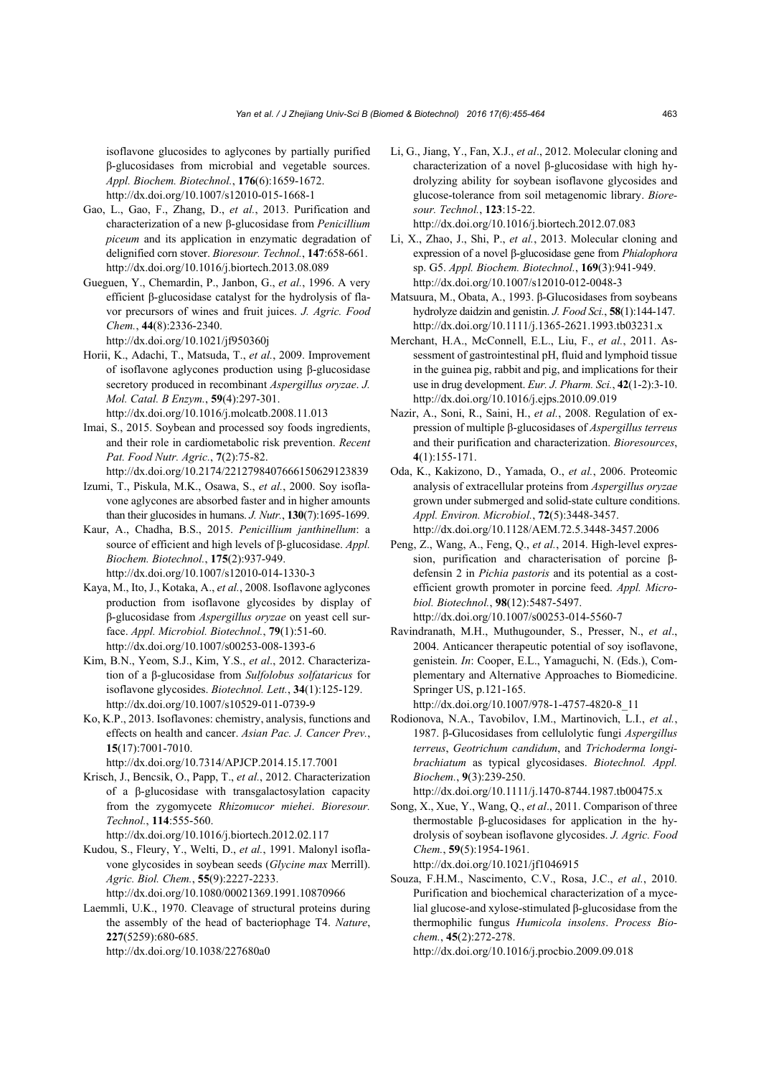isoflavone glucosides to aglycones by partially purified β-glucosidases from microbial and vegetable sources. *Appl. Biochem. Biotechnol.*, **176**(6):1659-1672. http://dx.doi.org/10.1007/s12010-015-1668-1

- Gao, L., Gao, F., Zhang, D., *et al.*, 2013. Purification and characterization of a new β-glucosidase from *Penicillium piceum* and its application in enzymatic degradation of delignified corn stover. *Bioresour. Technol.*, **147**:658-661. http://dx.doi.org/10.1016/j.biortech.2013.08.089
- Gueguen, Y., Chemardin, P., Janbon, G., *et al.*, 1996. A very efficient β-glucosidase catalyst for the hydrolysis of flavor precursors of wines and fruit juices. *J. Agric. Food Chem.*, **44**(8):2336-2340.

http://dx.doi.org/10.1021/jf950360j

- Horii, K., Adachi, T., Matsuda, T., *et al.*, 2009. Improvement of isoflavone aglycones production using β-glucosidase secretory produced in recombinant *Aspergillus oryzae*. *J. Mol. Catal. B Enzym.*, **59**(4):297-301. http://dx.doi.org/10.1016/j.molcatb.2008.11.013
- Imai, S., 2015. Soybean and processed soy foods ingredients, and their role in cardiometabolic risk prevention. *Recent Pat. Food Nutr. Agric.*, **7**(2):75-82.
- http://dx.doi.org/10.2174/2212798407666150629123839 Izumi, T., Piskula, M.K., Osawa, S., *et al.*, 2000. Soy isoflavone aglycones are absorbed faster and in higher amounts than their glucosides in humans. *J. Nutr.*, **130**(7):1695-1699.
- Kaur, A., Chadha, B.S., 2015. *Penicillium janthinellum*: a source of efficient and high levels of β-glucosidase. *Appl. Biochem. Biotechnol.*, **175**(2):937-949. http://dx.doi.org/10.1007/s12010-014-1330-3
- Kaya, M., Ito, J., Kotaka, A., *et al.*, 2008. Isoflavone aglycones production from isoflavone glycosides by display of β-glucosidase from *Aspergillus oryzae* on yeast cell surface. *Appl. Microbiol. Biotechnol.*, **79**(1):51-60. http://dx.doi.org/10.1007/s00253-008-1393-6
- Kim, B.N., Yeom, S.J., Kim, Y.S., *et al*., 2012. Characterization of a β-glucosidase from *Sulfolobus solfataricus* for isoflavone glycosides. *Biotechnol. Lett.*, **34**(1):125-129. http://dx.doi.org/10.1007/s10529-011-0739-9
- Ko, K.P., 2013. Isoflavones: chemistry, analysis, functions and effects on health and cancer. *Asian Pac. J. Cancer Prev.*, **15**(17):7001-7010.

http://dx.doi.org/10.7314/APJCP.2014.15.17.7001

- Krisch, J., Bencsik, O., Papp, T., *et al.*, 2012. Characterization of a β-glucosidase with transgalactosylation capacity from the zygomycete *Rhizomucor miehei*. *Bioresour. Technol.*, **114**:555-560.
	- http://dx.doi.org/10.1016/j.biortech.2012.02.117
- Kudou, S., Fleury, Y., Welti, D., *et al.*, 1991. Malonyl isoflavone glycosides in soybean seeds (*Glycine max* Merrill). *Agric. Biol. Chem.*, **55**(9):2227-2233. http://dx.doi.org/10.1080/00021369.1991.10870966
- Laemmli, U.K., 1970. Cleavage of structural proteins during the assembly of the head of bacteriophage T4. *Nature*, **227**(5259):680-685. http://dx.doi.org/10.1038/227680a0
- Li, G., Jiang, Y., Fan, X.J., *et al*., 2012. Molecular cloning and characterization of a novel β-glucosidase with high hydrolyzing ability for soybean isoflavone glycosides and glucose-tolerance from soil metagenomic library. *Bioresour. Technol.*, **123**:15-22. http://dx.doi.org/10.1016/j.biortech.2012.07.083
- Li, X., Zhao, J., Shi, P., *et al.*, 2013. Molecular cloning and expression of a novel β-glucosidase gene from *Phialophora* sp. G5. *Appl. Biochem. Biotechnol.*, **169**(3):941-949. http://dx.doi.org/10.1007/s12010-012-0048-3
- Matsuura, M., Obata, A., 1993. β-Glucosidases from soybeans hydrolyze daidzin and genistin. *J. Food Sci.*, **58**(1):144-147. http://dx.doi.org/10.1111/j.1365-2621.1993.tb03231.x
- Merchant, H.A., McConnell, E.L., Liu, F., *et al.*, 2011. Assessment of gastrointestinal pH, fluid and lymphoid tissue in the guinea pig, rabbit and pig, and implications for their use in drug development. *Eur. J. Pharm. Sci.*, **42**(1-2):3-10. http://dx.doi.org/10.1016/j.ejps.2010.09.019
- Nazir, A., Soni, R., Saini, H., *et al.*, 2008. Regulation of expression of multiple β-glucosidases of *Aspergillus terreus*  and their purification and characterization. *Bioresources*, **4**(1):155-171.
- Oda, K., Kakizono, D., Yamada, O., *et al.*, 2006. Proteomic analysis of extracellular proteins from *Aspergillus oryzae* grown under submerged and solid-state culture conditions. *Appl. Environ. Microbiol.*, **72**(5):3448-3457. http://dx.doi.org/10.1128/AEM.72.5.3448-3457.2006
- Peng, Z., Wang, A., Feng, Q., *et al.*, 2014. High-level expression, purification and characterisation of porcine βdefensin 2 in *Pichia pastoris* and its potential as a costefficient growth promoter in porcine feed. *Appl. Microbiol. Biotechnol.*, **98**(12):5487-5497. http://dx.doi.org/10.1007/s00253-014-5560-7
- Ravindranath, M.H., Muthugounder, S., Presser, N., *et al*., 2004. Anticancer therapeutic potential of soy isoflavone, genistein. *In*: Cooper, E.L., Yamaguchi, N. (Eds.), Complementary and Alternative Approaches to Biomedicine. Springer US, p.121-165.

http://dx.doi.org/10.1007/978-1-4757-4820-8\_11

Rodionova, N.A., Tavobilov, I.M., Martinovich, L.I., *et al.*, 1987. β-Glucosidases from cellulolytic fungi *Aspergillus terreus*, *Geotrichum candidum*, and *Trichoderma longibrachiatum* as typical glycosidases. *Biotechnol. Appl. Biochem.*, **9**(3):239-250.

http://dx.doi.org/10.1111/j.1470-8744.1987.tb00475.x

- Song, X., Xue, Y., Wang, Q., *et al*., 2011. Comparison of three thermostable β-glucosidases for application in the hydrolysis of soybean isoflavone glycosides. *J. Agric. Food Chem.*, **59**(5):1954-1961. http://dx.doi.org/10.1021/jf1046915
- Souza, F.H.M., Nascimento, C.V., Rosa, J.C., *et al.*, 2010. Purification and biochemical characterization of a mycelial glucose-and xylose-stimulated β-glucosidase from the thermophilic fungus *Humicola insolens*. *Process Biochem.*, **45**(2):272-278.

http://dx.doi.org/10.1016/j.procbio.2009.09.018